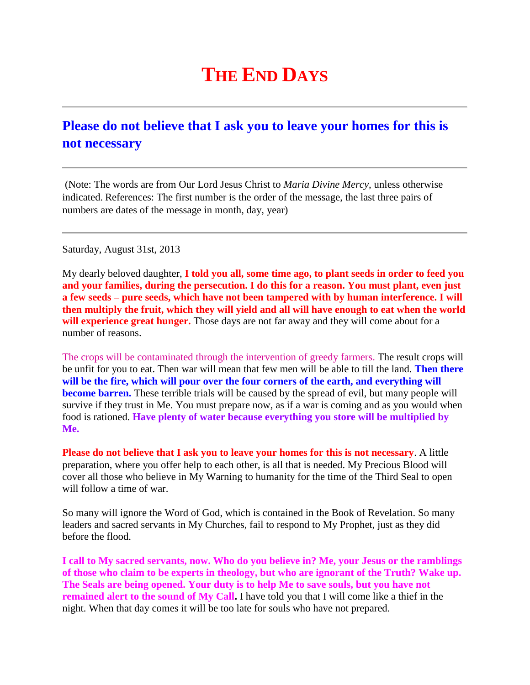## **THE END DAYS**

## **Please do not believe that I ask you to leave your homes for this is not necessary**

(Note: The words are from Our Lord Jesus Christ to *Maria Divine Mercy*, unless otherwise indicated. References: The first number is the order of the message, the last three pairs of numbers are dates of the message in month, day, year)

Saturday, August 31st, 2013

My dearly beloved daughter, **I told you all, some time ago, to plant seeds in order to feed you and your families, during the persecution. I do this for a reason. You must plant, even just a few seeds – pure seeds, which have not been tampered with by human interference. I will then multiply the fruit, which they will yield and all will have enough to eat when the world will experience great hunger.** Those days are not far away and they will come about for a number of reasons.

The crops will be contaminated through the intervention of greedy farmers. The result crops will be unfit for you to eat. Then war will mean that few men will be able to till the land. **Then there**  will be the fire, which will pour over the four corners of the earth, and everything will **become barren.** These terrible trials will be caused by the spread of evil, but many people will survive if they trust in Me. You must prepare now, as if a war is coming and as you would when food is rationed. **Have plenty of water because everything you store will be multiplied by Me.**

**Please do not believe that I ask you to leave your homes for this is not necessary**. A little preparation, where you offer help to each other, is all that is needed. My Precious Blood will cover all those who believe in My Warning to humanity for the time of the Third Seal to open will follow a time of war.

So many will ignore the Word of God, which is contained in the Book of Revelation. So many leaders and sacred servants in My Churches, fail to respond to My Prophet, just as they did before the flood.

**I call to My sacred servants, now. Who do you believe in? Me, your Jesus or the ramblings of those who claim to be experts in theology, but who are ignorant of the Truth? Wake up. The Seals are being opened. Your duty is to help Me to save souls, but you have not remained alert to the sound of My Call.** I have told you that I will come like a thief in the night. When that day comes it will be too late for souls who have not prepared.